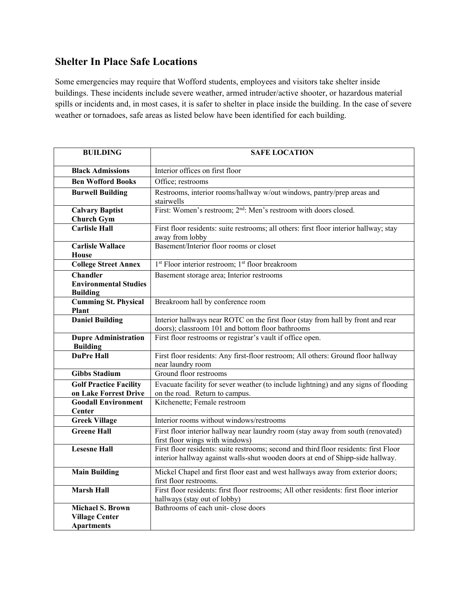## **Shelter In Place Safe Locations**

Some emergencies may require that Wofford students, employees and visitors take shelter inside buildings. These incidents include severe weather, armed intruder/active shooter, or hazardous material spills or incidents and, in most cases, it is safer to shelter in place inside the building. In the case of severe weather or tornadoes, safe areas as listed below have been identified for each building.

| <b>BUILDING</b>                                                       | <b>SAFE LOCATION</b>                                                                                                                                                    |
|-----------------------------------------------------------------------|-------------------------------------------------------------------------------------------------------------------------------------------------------------------------|
| <b>Black Admissions</b>                                               | Interior offices on first floor                                                                                                                                         |
| <b>Ben Wofford Books</b>                                              | Office; restrooms                                                                                                                                                       |
| <b>Burwell Building</b>                                               | Restrooms, interior rooms/hallway w/out windows, pantry/prep areas and<br>stairwells                                                                                    |
| <b>Calvary Baptist</b><br><b>Church Gym</b>                           | First: Women's restroom; 2 <sup>nd</sup> : Men's restroom with doors closed.                                                                                            |
| <b>Carlisle Hall</b>                                                  | First floor residents: suite restrooms; all others: first floor interior hallway; stay<br>away from lobby                                                               |
| <b>Carlisle Wallace</b><br><b>House</b>                               | Basement/Interior floor rooms or closet                                                                                                                                 |
| <b>College Street Annex</b>                                           | 1 <sup>st</sup> Floor interior restroom; 1 <sup>st</sup> floor breakroom                                                                                                |
| <b>Chandler</b><br><b>Environmental Studies</b><br><b>Building</b>    | Basement storage area; Interior restrooms                                                                                                                               |
| <b>Cumming St. Physical</b><br>Plant                                  | Breakroom hall by conference room                                                                                                                                       |
| <b>Daniel Building</b>                                                | Interior hallways near ROTC on the first floor (stay from hall by front and rear<br>doors); classroom 101 and bottom floor bathrooms                                    |
| <b>Dupre Administration</b><br><b>Building</b>                        | First floor restrooms or registrar's vault if office open.                                                                                                              |
| <b>DuPre Hall</b>                                                     | First floor residents: Any first-floor restroom; All others: Ground floor hallway<br>near laundry room                                                                  |
| <b>Gibbs Stadium</b>                                                  | Ground floor restrooms                                                                                                                                                  |
| <b>Golf Practice Facility</b>                                         | Evacuate facility for sever weather (to include lightning) and any signs of flooding                                                                                    |
| on Lake Forrest Drive<br><b>Goodall Environment</b><br>Center         | on the road. Return to campus.<br>Kitchenette; Female restroom                                                                                                          |
| <b>Greek Village</b>                                                  | Interior rooms without windows/restrooms                                                                                                                                |
| <b>Greene Hall</b>                                                    | First floor interior hallway near laundry room (stay away from south (renovated)<br>first floor wings with windows)                                                     |
| <b>Lesesne Hall</b>                                                   | First floor residents: suite restrooms; second and third floor residents: first Floor<br>interior hallway against walls-shut wooden doors at end of Shipp-side hallway. |
| <b>Main Building</b>                                                  | Mickel Chapel and first floor east and west hallways away from exterior doors;<br>first floor restrooms.                                                                |
| <b>Marsh Hall</b>                                                     | First floor residents: first floor restrooms; All other residents: first floor interior<br>hallways (stay out of lobby)                                                 |
| <b>Michael S. Brown</b><br><b>Village Center</b><br><b>Apartments</b> | Bathrooms of each unit-close doors                                                                                                                                      |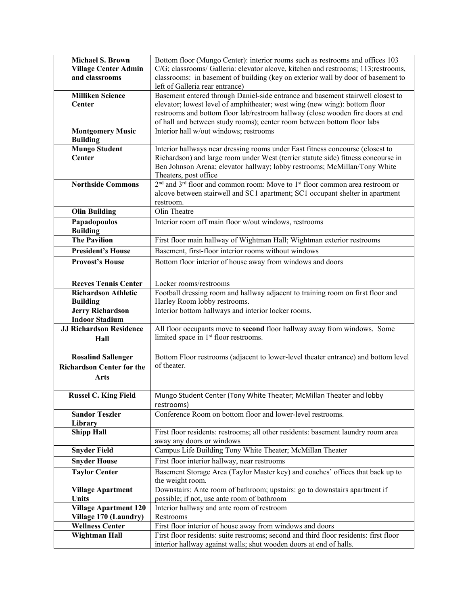| <b>Michael S. Brown</b><br><b>Village Center Admin</b><br>and classrooms | Bottom floor (Mungo Center): interior rooms such as restrooms and offices 103<br>C/G; classrooms/ Galleria: elevator alcove, kitchen and restrooms; 113; restrooms,<br>classrooms: in basement of building (key on exterior wall by door of basement to<br>left of Galleria rear entrance) |
|--------------------------------------------------------------------------|--------------------------------------------------------------------------------------------------------------------------------------------------------------------------------------------------------------------------------------------------------------------------------------------|
| <b>Milliken Science</b>                                                  | Basement entered through Daniel-side entrance and basement stairwell closest to                                                                                                                                                                                                            |
| Center                                                                   | elevator; lowest level of amphitheater; west wing (new wing): bottom floor                                                                                                                                                                                                                 |
|                                                                          | restrooms and bottom floor lab/restroom hallway (close wooden fire doors at end                                                                                                                                                                                                            |
|                                                                          | of hall and between study rooms); center room between bottom floor labs                                                                                                                                                                                                                    |
| <b>Montgomery Music</b><br><b>Building</b>                               | Interior hall w/out windows; restrooms                                                                                                                                                                                                                                                     |
| <b>Mungo Student</b>                                                     | Interior hallways near dressing rooms under East fitness concourse (closest to                                                                                                                                                                                                             |
| Center                                                                   | Richardson) and large room under West (terrier statute side) fitness concourse in                                                                                                                                                                                                          |
|                                                                          | Ben Johnson Arena; elevator hallway; lobby restrooms; McMillan/Tony White<br>Theaters, post office                                                                                                                                                                                         |
| <b>Northside Commons</b>                                                 | 2 <sup>nd</sup> and 3 <sup>rd</sup> floor and common room: Move to 1 <sup>st</sup> floor common area restroom or                                                                                                                                                                           |
|                                                                          | alcove between stairwell and SC1 apartment; SC1 occupant shelter in apartment                                                                                                                                                                                                              |
|                                                                          | restroom.                                                                                                                                                                                                                                                                                  |
| <b>Olin Building</b>                                                     | Olin Theatre                                                                                                                                                                                                                                                                               |
| Papadopoulos<br><b>Building</b>                                          | Interior room off main floor w/out windows, restrooms                                                                                                                                                                                                                                      |
| <b>The Pavilion</b>                                                      | First floor main hallway of Wightman Hall; Wightman exterior restrooms                                                                                                                                                                                                                     |
| <b>President's House</b>                                                 | Basement, first-floor interior rooms without windows                                                                                                                                                                                                                                       |
| <b>Provost's House</b>                                                   | Bottom floor interior of house away from windows and doors                                                                                                                                                                                                                                 |
| <b>Reeves Tennis Center</b>                                              | Locker rooms/restrooms                                                                                                                                                                                                                                                                     |
| <b>Richardson Athletic</b>                                               | Football dressing room and hallway adjacent to training room on first floor and                                                                                                                                                                                                            |
| <b>Building</b>                                                          | Harley Room lobby restrooms.                                                                                                                                                                                                                                                               |
| <b>Jerry Richardson</b><br><b>Indoor Stadium</b>                         | Interior bottom hallways and interior locker rooms.                                                                                                                                                                                                                                        |
| <b>JJ Richardson Residence</b>                                           | All floor occupants move to second floor hallway away from windows. Some                                                                                                                                                                                                                   |
| Hall                                                                     | limited space in 1 <sup>st</sup> floor restrooms.                                                                                                                                                                                                                                          |
| <b>Rosalind Sallenger</b>                                                | Bottom Floor restrooms (adjacent to lower-level theater entrance) and bottom level                                                                                                                                                                                                         |
| <b>Richardson Center for the</b>                                         | of theater.                                                                                                                                                                                                                                                                                |
| Arts                                                                     |                                                                                                                                                                                                                                                                                            |
|                                                                          |                                                                                                                                                                                                                                                                                            |
| <b>Russel C. King Field</b>                                              | Mungo Student Center (Tony White Theater; McMillan Theater and lobby<br>restrooms)                                                                                                                                                                                                         |
| <b>Sandor Teszler</b>                                                    | Conference Room on bottom floor and lower-level restrooms.                                                                                                                                                                                                                                 |
| Library                                                                  |                                                                                                                                                                                                                                                                                            |
| <b>Shipp Hall</b>                                                        | First floor residents: restrooms; all other residents: basement laundry room area<br>away any doors or windows                                                                                                                                                                             |
| <b>Snyder Field</b>                                                      | Campus Life Building Tony White Theater; McMillan Theater                                                                                                                                                                                                                                  |
| <b>Snyder House</b>                                                      | First floor interior hallway, near restrooms                                                                                                                                                                                                                                               |
| <b>Taylor Center</b>                                                     | Basement Storage Area (Taylor Master key) and coaches' offices that back up to                                                                                                                                                                                                             |
|                                                                          | the weight room.                                                                                                                                                                                                                                                                           |
| <b>Village Apartment</b>                                                 | Downstairs: Ante room of bathroom; upstairs: go to downstairs apartment if                                                                                                                                                                                                                 |
| <b>Units</b>                                                             | possible; if not, use ante room of bathroom                                                                                                                                                                                                                                                |
| <b>Village Apartment 120</b>                                             | Interior hallway and ante room of restroom                                                                                                                                                                                                                                                 |
| Village 170 (Laundry)                                                    | Restrooms                                                                                                                                                                                                                                                                                  |
| <b>Wellness Center</b>                                                   | First floor interior of house away from windows and doors                                                                                                                                                                                                                                  |
| <b>Wightman Hall</b>                                                     | First floor residents: suite restrooms; second and third floor residents: first floor<br>interior hallway against walls; shut wooden doors at end of halls.                                                                                                                                |